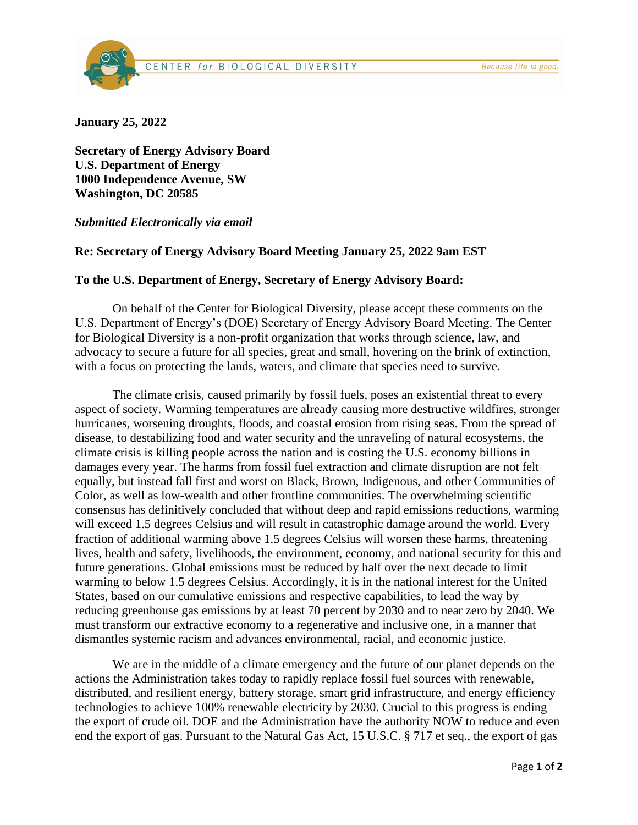

**January 25, 2022**

**Secretary of Energy Advisory Board U.S. Department of Energy 1000 Independence Avenue, SW Washington, DC 20585**

## *Submitted Electronically via email*

## **Re: Secretary of Energy Advisory Board Meeting January 25, 2022 9am EST**

## **To the U.S. Department of Energy, Secretary of Energy Advisory Board:**

On behalf of the Center for Biological Diversity, please accept these comments on the U.S. Department of Energy's (DOE) Secretary of Energy Advisory Board Meeting. The Center for Biological Diversity is a non-profit organization that works through science, law, and advocacy to secure a future for all species, great and small, hovering on the brink of extinction, with a focus on protecting the lands, waters, and climate that species need to survive.

The climate crisis, caused primarily by fossil fuels, poses an existential threat to every aspect of society. Warming temperatures are already causing more destructive wildfires, stronger hurricanes, worsening droughts, floods, and coastal erosion from rising seas. From the spread of disease, to destabilizing food and water security and the unraveling of natural ecosystems, the climate crisis is killing people across the nation and is costing the U.S. economy billions in damages every year. The harms from fossil fuel extraction and climate disruption are not felt equally, but instead fall first and worst on Black, Brown, Indigenous, and other Communities of Color, as well as low-wealth and other frontline communities. The overwhelming scientific consensus has definitively concluded that without deep and rapid emissions reductions, warming will exceed 1.5 degrees Celsius and will result in catastrophic damage around the world. Every fraction of additional warming above 1.5 degrees Celsius will worsen these harms, threatening lives, health and safety, livelihoods, the environment, economy, and national security for this and future generations. Global emissions must be reduced by half over the next decade to limit warming to below 1.5 degrees Celsius. Accordingly, it is in the national interest for the United States, based on our cumulative emissions and respective capabilities, to lead the way by reducing greenhouse gas emissions by at least 70 percent by 2030 and to near zero by 2040. We must transform our extractive economy to a regenerative and inclusive one, in a manner that dismantles systemic racism and advances environmental, racial, and economic justice.

We are in the middle of a climate emergency and the future of our planet depends on the actions the Administration takes today to rapidly replace fossil fuel sources with renewable, distributed, and resilient energy, battery storage, smart grid infrastructure, and energy efficiency technologies to achieve 100% renewable electricity by 2030. Crucial to this progress is ending the export of crude oil. DOE and the Administration have the authority NOW to reduce and even end the export of gas. Pursuant to the Natural Gas Act, 15 U.S.C. § 717 et seq., the export of gas